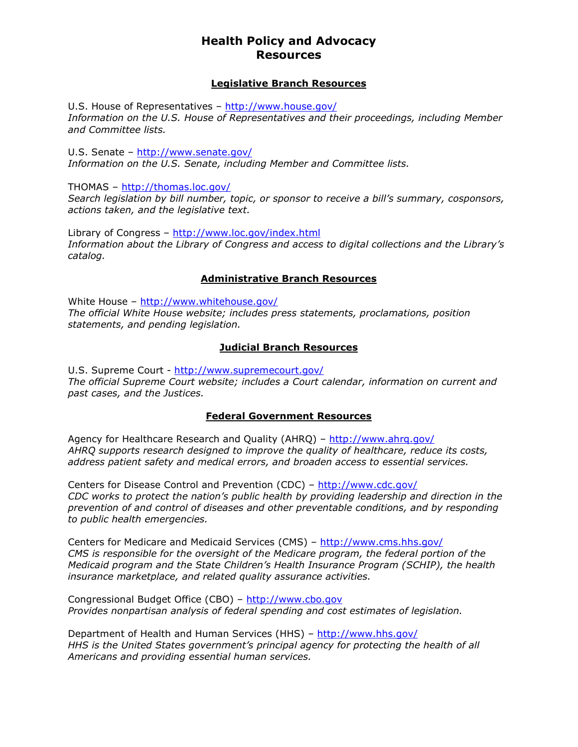#### Legislative Branch Resources

U.S. House of Representatives - http://www.house.gov/ Information on the U.S. House of Representatives and their proceedings, including Member and Committee lists.

U.S. Senate – http://www.senate.gov/ Information on the U.S. Senate, including Member and Committee lists.

THOMAS – http://thomas.loc.gov/

Search legislation by bill number, topic, or sponsor to receive a bill's summary, cosponsors, actions taken, and the legislative text.

Library of Congress – http://www.loc.gov/index.html Information about the Library of Congress and access to digital collections and the Library's catalog.

## Administrative Branch Resources

White House – http://www.whitehouse.gov/ The official White House website; includes press statements, proclamations, position statements, and pending legislation.

## Judicial Branch Resources

U.S. Supreme Court - http://www.supremecourt.gov/ The official Supreme Court website; includes a Court calendar, information on current and past cases, and the Justices.

#### Federal Government Resources

Agency for Healthcare Research and Quality (AHRQ) – http://www.ahrq.gov/ AHRQ supports research designed to improve the quality of healthcare, reduce its costs, address patient safety and medical errors, and broaden access to essential services.

Centers for Disease Control and Prevention (CDC) – http://www.cdc.gov/ CDC works to protect the nation's public health by providing leadership and direction in the prevention of and control of diseases and other preventable conditions, and by responding to public health emergencies.

Centers for Medicare and Medicaid Services (CMS) – http://www.cms.hhs.gov/ CMS is responsible for the oversight of the Medicare program, the federal portion of the Medicaid program and the State Children's Health Insurance Program (SCHIP), the health insurance marketplace, and related quality assurance activities.

Congressional Budget Office (CBO) – http://www.cbo.gov Provides nonpartisan analysis of federal spending and cost estimates of legislation.

Department of Health and Human Services (HHS) – http://www.hhs.gov/ HHS is the United States government's principal agency for protecting the health of all Americans and providing essential human services.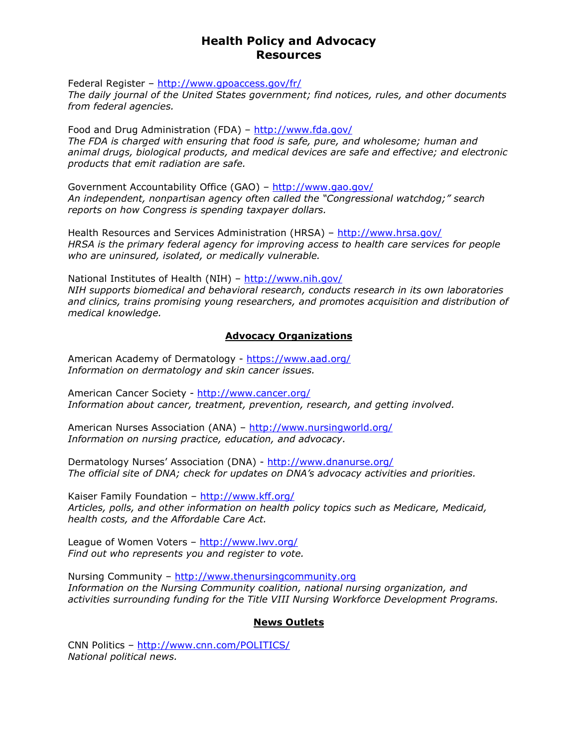Federal Register – http://www.gpoaccess.gov/fr/

The daily journal of the United States government; find notices, rules, and other documents from federal agencies.

Food and Drug Administration (FDA) – http://www.fda.gov/ The FDA is charged with ensuring that food is safe, pure, and wholesome; human and animal drugs, biological products, and medical devices are safe and effective; and electronic products that emit radiation are safe.

Government Accountability Office (GAO) – http://www.gao.gov/ An independent, nonpartisan agency often called the "Congressional watchdog;" search reports on how Congress is spending taxpayer dollars.

Health Resources and Services Administration (HRSA) - http://www.hrsa.gov/ HRSA is the primary federal agency for improving access to health care services for people who are uninsured, isolated, or medically vulnerable.

National Institutes of Health (NIH) – http://www.nih.gov/ NIH supports biomedical and behavioral research, conducts research in its own laboratories and clinics, trains promising young researchers, and promotes acquisition and distribution of medical knowledge.

#### Advocacy Organizations

American Academy of Dermatology - https://www.aad.org/ Information on dermatology and skin cancer issues.

American Cancer Society - http://www.cancer.org/ Information about cancer, treatment, prevention, research, and getting involved.

American Nurses Association (ANA) – http://www.nursingworld.org/ Information on nursing practice, education, and advocacy.

Dermatology Nurses' Association (DNA) - http://www.dnanurse.org/ The official site of DNA; check for updates on DNA's advocacy activities and priorities.

Kaiser Family Foundation - http://www.kff.org/ Articles, polls, and other information on health policy topics such as Medicare, Medicaid, health costs, and the Affordable Care Act.

League of Women Voters – http://www.lwv.org/ Find out who represents you and register to vote.

Nursing Community - http://www.thenursingcommunity.org Information on the Nursing Community coalition, national nursing organization, and activities surrounding funding for the Title VIII Nursing Workforce Development Programs.

#### News Outlets

CNN Politics – http://www.cnn.com/POLITICS/ National political news.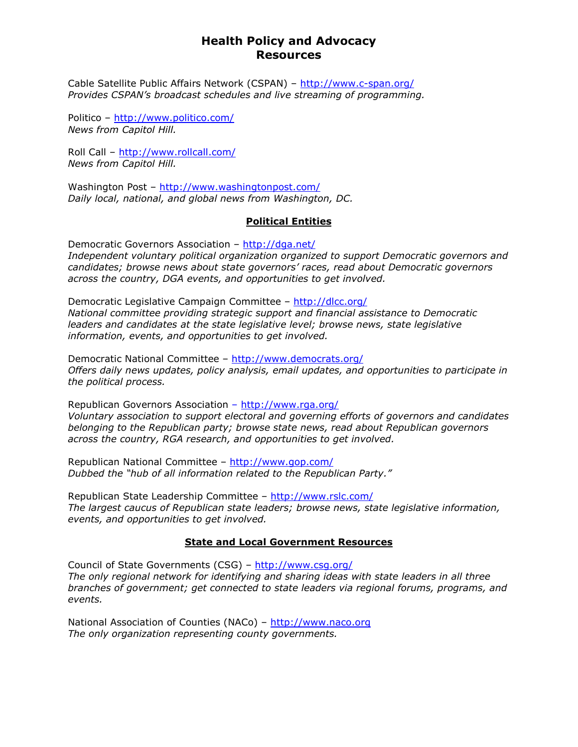Cable Satellite Public Affairs Network (CSPAN) – http://www.c-span.org/ Provides CSPAN's broadcast schedules and live streaming of programming.

Politico – http://www.politico.com/ News from Capitol Hill.

Roll Call – http://www.rollcall.com/ News from Capitol Hill.

Washington Post – http://www.washingtonpost.com/ Daily local, national, and global news from Washington, DC.

## Political Entities

Democratic Governors Association – http://dga.net/ Independent voluntary political organization organized to support Democratic governors and candidates; browse news about state governors' races, read about Democratic governors across the country, DGA events, and opportunities to get involved.

Democratic Legislative Campaign Committee – http://dlcc.org/ National committee providing strategic support and financial assistance to Democratic leaders and candidates at the state legislative level; browse news, state legislative information, events, and opportunities to get involved.

Democratic National Committee – http://www.democrats.org/ Offers daily news updates, policy analysis, email updates, and opportunities to participate in the political process.

Republican Governors Association - http://www.rga.org/ Voluntary association to support electoral and governing efforts of governors and candidates belonging to the Republican party; browse state news, read about Republican governors across the country, RGA research, and opportunities to get involved.

Republican National Committee – http://www.gop.com/ Dubbed the "hub of all information related to the Republican Party."

Republican State Leadership Committee – http://www.rslc.com/ The largest caucus of Republican state leaders; browse news, state legislative information, events, and opportunities to get involved.

## State and Local Government Resources

Council of State Governments (CSG) – http://www.csg.org/ The only regional network for identifying and sharing ideas with state leaders in all three branches of government; get connected to state leaders via regional forums, programs, and events.

National Association of Counties (NACo) - http://www.naco.org The only organization representing county governments.